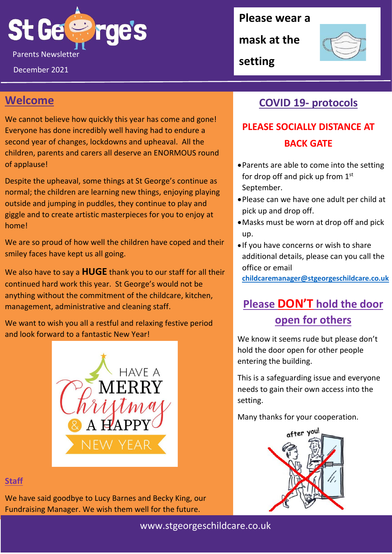

December 2021

#### **Please wear a**

**mask at the** 



**setting**

## **Welcome**

We cannot believe how quickly this year has come and gone! Everyone has done incredibly well having had to endure a second year of changes, lockdowns and upheaval. All the children, parents and carers all deserve an ENORMOUS round of applause!

Despite the upheaval, some things at St George's continue as normal; the children are learning new things, enjoying playing outside and jumping in puddles, they continue to play and giggle and to create artistic masterpieces for you to enjoy at home!

We are so proud of how well the children have coped and their smiley faces have kept us all going.

We also have to say a **HUGE** thank you to our staff for all their continued hard work this year. St George's would not be anything without the commitment of the childcare, kitchen, management, administrative and cleaning staff.

We want to wish you all a restful and relaxing festive period and look forward to a fantastic New Year!



#### **Staff**

We have said goodbye to Lucy Barnes and Becky King, our Fundraising Manager. We wish them well for the future.

## **COVID 19- protocols**

# **PLEASE SOCIALLY DISTANCE AT BACK GATE**

- •Parents are able to come into the setting for drop off and pick up from  $1<sup>st</sup>$ September.
- •Please can we have one adult per child at pick up and drop off.
- •Masks must be worn at drop off and pick up.
- If you have concerns or wish to share additional details, please can you call the office or email

**[childcaremanager@stgeorgeschildcare.co.uk](mailto:childcaremanager@stgeorgeschildcare.co.uk)**

# **Please DON'T hold the door open for others**

We know it seems rude but please don't hold the door open for other people entering the building.

This is a safeguarding issue and everyone needs to gain their own access into the setting.

Many thanks for your cooperation.

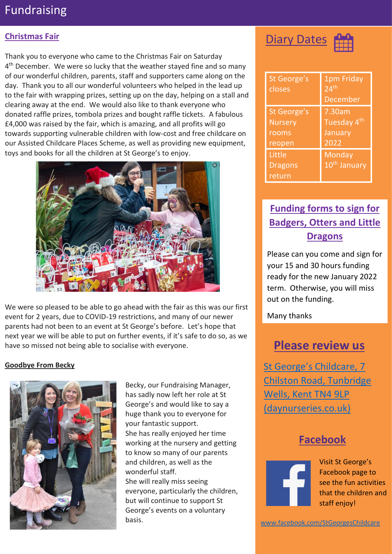# Fundraising

#### **Christmas Fair**

Thank you to everyone who came to the Christmas Fair on Saturday 4<sup>th</sup> December. We were so lucky that the weather stayed fine and so many of our wonderful children, parents, staff and supporters came along on the day. Thank you to all our wonderful volunteers who helped in the lead up to the fair with wrapping prizes, setting up on the day, helping on a stall and clearing away at the end. We would also like to thank everyone who donated raffle prizes, tombola prizes and bought raffle tickets. A fabulous £4,000 was raised by the fair, which is amazing, and all profits will go towards supporting vulnerable children with low-cost and free childcare on our Assisted Childcare Places Scheme, as well as providing new equipment, toys and books for all the children at St George's to enjoy.



We were so pleased to be able to go ahead with the fair as this was our first event for 2 years, due to COVID-19 restrictions, and many of our newer parents had not been to an event at St George's before. Let's hope that next year we will be able to put on further events, if it's safe to do so, as we have so missed not being able to socialise with everyone.

#### **Goodbye From Becky**



Becky, our Fundraising Manager, has sadly now left her role at St George's and would like to say a huge thank you to everyone for your fantastic support. She has really enjoyed her time working at the nursery and getting to know so many of our parents and children, as well as the wonderful staff. She will really miss seeing everyone, particularly the children, but will continue to support St George's events on a voluntary basis.



| St George's<br>closes | 1pm Friday<br>24 <sup>th</sup><br><b>December</b> |
|-----------------------|---------------------------------------------------|
| St George's           | 7.30am                                            |
| <b>Nursery</b>        | Tuesday 4th                                       |
| rooms                 | January                                           |
| reopen                | 2022                                              |
| Little                | Monday                                            |
| <b>Dragons</b>        | 10 <sup>th</sup> January                          |
| return                |                                                   |

## **Funding forms to sign for Badgers, Otters and Little Dragons**

Please can you come and sign for your 15 and 30 hours funding ready for the new January 2022 term. Otherwise, you will miss out on the funding.

Many thanks

# **Please review us**

[St George's Childcare, 7](https://www.daynurseries.co.uk/daynursery.cfm/searchazref/50001050GEOA/rcsid/1001#submit-review-tab)  [Chilston Road, Tunbridge](https://www.daynurseries.co.uk/daynursery.cfm/searchazref/50001050GEOA/rcsid/1001#submit-review-tab)  [Wells, Kent TN4 9LP](https://www.daynurseries.co.uk/daynursery.cfm/searchazref/50001050GEOA/rcsid/1001#submit-review-tab)  [\(daynurseries.co.uk\)](https://www.daynurseries.co.uk/daynursery.cfm/searchazref/50001050GEOA/rcsid/1001#submit-review-tab)

#### **Facebook**



Visit St George's Facebook page to see the fun activities that the children and staff enjoy!

[www.facebook.com/StGeorgesChildcare](http://www.facebook.com/StGeorgesChildcare)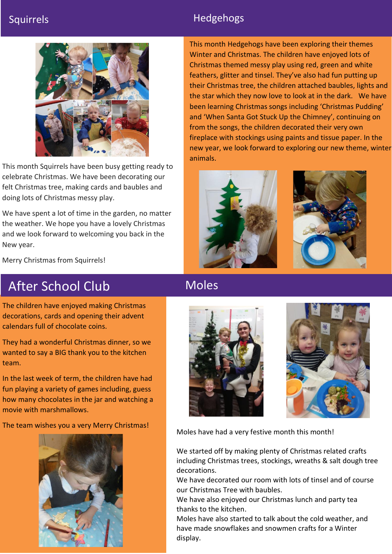#### Squirrels **Hedgehogs Hedgehogs**



This month Squirrels have been busy getting ready to celebrate Christmas. We have been decorating our felt Christmas tree, making cards and baubles and doing lots of Christmas messy play.

We have spent a lot of time in the garden, no matter the weather. We hope you have a lovely Christmas and we look forward to welcoming you back in the New year.

This month Hedgehogs have been exploring their themes Winter and Christmas. The children have enjoyed lots of Christmas themed messy play using red, green and white feathers, glitter and tinsel. They've also had fun putting up their Christmas tree, the children attached baubles, lights and the star which they now love to look at in the dark. We have been learning Christmas songs including 'Christmas Pudding' and 'When Santa Got Stuck Up the Chimney', continuing on from the songs, the children decorated their very own fireplace with stockings using paints and tissue paper. In the new year, we look forward to exploring our new theme, winter animals.





Merry Christmas from Squirrels!

# After School Club

The children have enjoyed making Christmas decorations, cards and opening their advent calendars full of chocolate coins.

They had a wonderful Christmas dinner, so we wanted to say a BIG thank you to the kitchen team.

In the last week of term, the children have had fun playing a variety of games including, guess how many chocolates in the jar and watching a movie with marshmallows.

#### The team wishes you a very Merry Christmas!



# Moles





Moles have had a very festive month this month!

We started off by making plenty of Christmas related crafts including Christmas trees, stockings, wreaths & salt dough tree decorations.

We have decorated our room with lots of tinsel and of course our Christmas Tree with baubles.

We have also enjoyed our Christmas lunch and party tea thanks to the kitchen.

have made snowflakes and snowmen crafts for a Winter<br>ii Moles have also started to talk about the cold weather, and display.